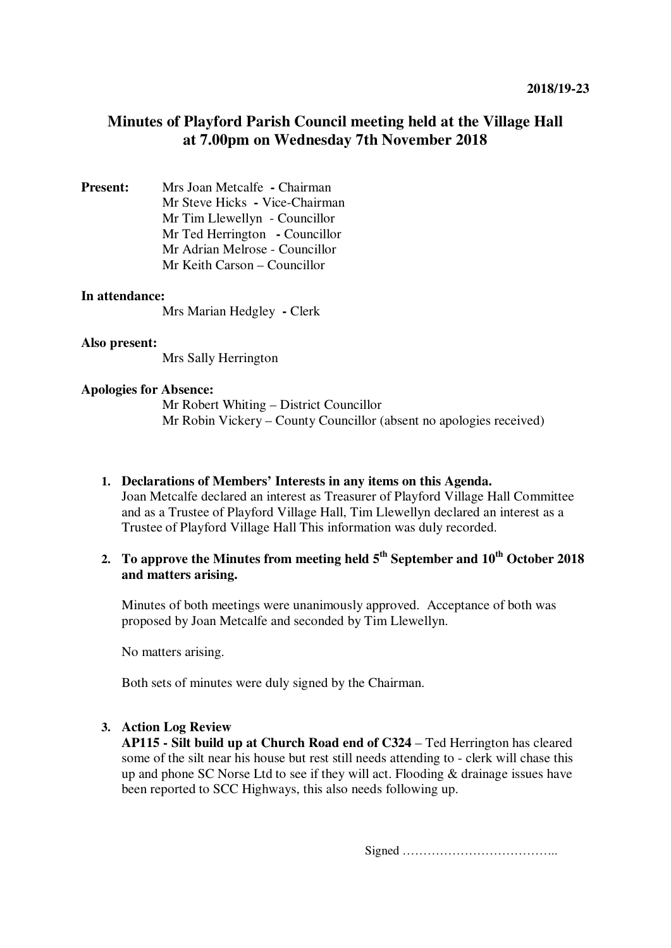# **Minutes of Playford Parish Council meeting held at the Village Hall at 7.00pm on Wednesday 7th November 2018**

**Present:** Mrs Joan Metcalfe **-** Chairman Mr Steve Hicks **-** Vice-Chairman Mr Tim Llewellyn - Councillor Mr Ted Herrington **-** Councillor Mr Adrian Melrose - Councillor Mr Keith Carson – Councillor

#### **In attendance:**

Mrs Marian Hedgley **-** Clerk

#### **Also present:**

Mrs Sally Herrington

#### **Apologies for Absence:**

Mr Robert Whiting – District Councillor Mr Robin Vickery – County Councillor (absent no apologies received)

**1. Declarations of Members' Interests in any items on this Agenda.**  Joan Metcalfe declared an interest as Treasurer of Playford Village Hall Committee and as a Trustee of Playford Village Hall, Tim Llewellyn declared an interest as a Trustee of Playford Village Hall This information was duly recorded.

# **2. To approve the Minutes from meeting held 5th September and 10th October 2018 and matters arising.**

Minutes of both meetings were unanimously approved. Acceptance of both was proposed by Joan Metcalfe and seconded by Tim Llewellyn.

No matters arising.

Both sets of minutes were duly signed by the Chairman.

#### **3. Action Log Review**

**AP115 - Silt build up at Church Road end of C324** – Ted Herrington has cleared some of the silt near his house but rest still needs attending to - clerk will chase this up and phone SC Norse Ltd to see if they will act. Flooding & drainage issues have been reported to SCC Highways, this also needs following up.

Signed ………………………………..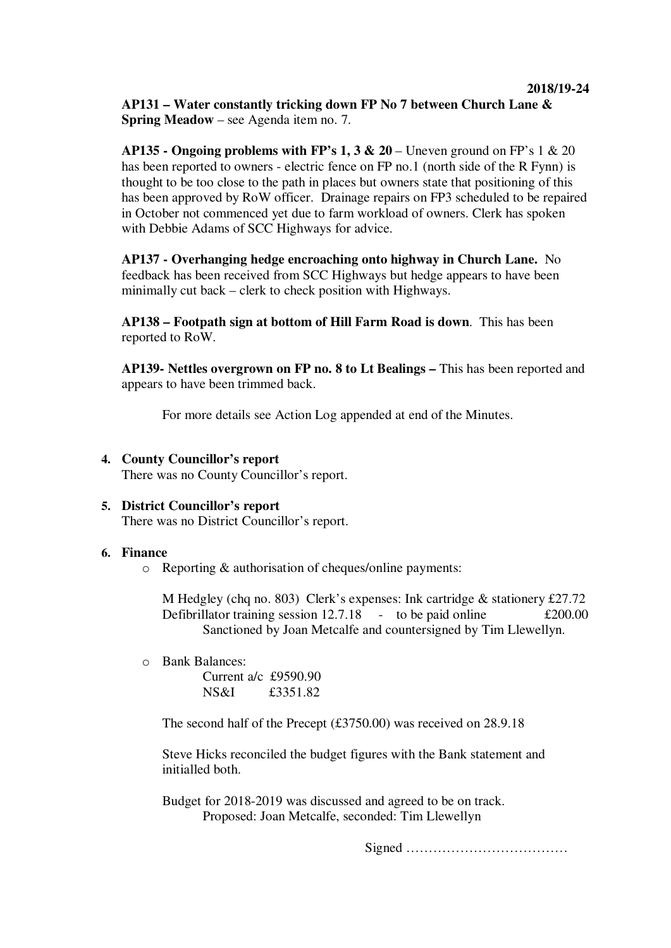**AP131 – Water constantly tricking down FP No 7 between Church Lane & Spring Meadow** – see Agenda item no. 7.

**AP135 - Ongoing problems with FP's 1, 3**  $\&$  **20** – Uneven ground on FP's 1  $\&$  20 has been reported to owners - electric fence on FP no.1 (north side of the R Fynn) is thought to be too close to the path in places but owners state that positioning of this has been approved by RoW officer. Drainage repairs on FP3 scheduled to be repaired in October not commenced yet due to farm workload of owners. Clerk has spoken with Debbie Adams of SCC Highways for advice.

**AP137 - Overhanging hedge encroaching onto highway in Church Lane.** No feedback has been received from SCC Highways but hedge appears to have been minimally cut back – clerk to check position with Highways.

**AP138 – Footpath sign at bottom of Hill Farm Road is down**. This has been reported to RoW.

**AP139- Nettles overgrown on FP no. 8 to Lt Bealings –** This has been reported and appears to have been trimmed back.

For more details see Action Log appended at end of the Minutes.

**4. County Councillor's report**

There was no County Councillor's report.

**5. District Councillor's report**  There was no District Councillor's report.

#### **6. Finance**

o Reporting & authorisation of cheques/online payments:

M Hedgley (chq no. 803) Clerk's expenses: Ink cartridge & stationery £27.72 Defibrillator training session  $12.7.18$  - to be paid online £200.00 Sanctioned by Joan Metcalfe and countersigned by Tim Llewellyn.

o Bank Balances:

Current a/c £9590.90 NS&I £3351.82

The second half of the Precept (£3750.00) was received on 28.9.18

Steve Hicks reconciled the budget figures with the Bank statement and initialled both.

Budget for 2018-2019 was discussed and agreed to be on track. Proposed: Joan Metcalfe, seconded: Tim Llewellyn

Signed ………………………………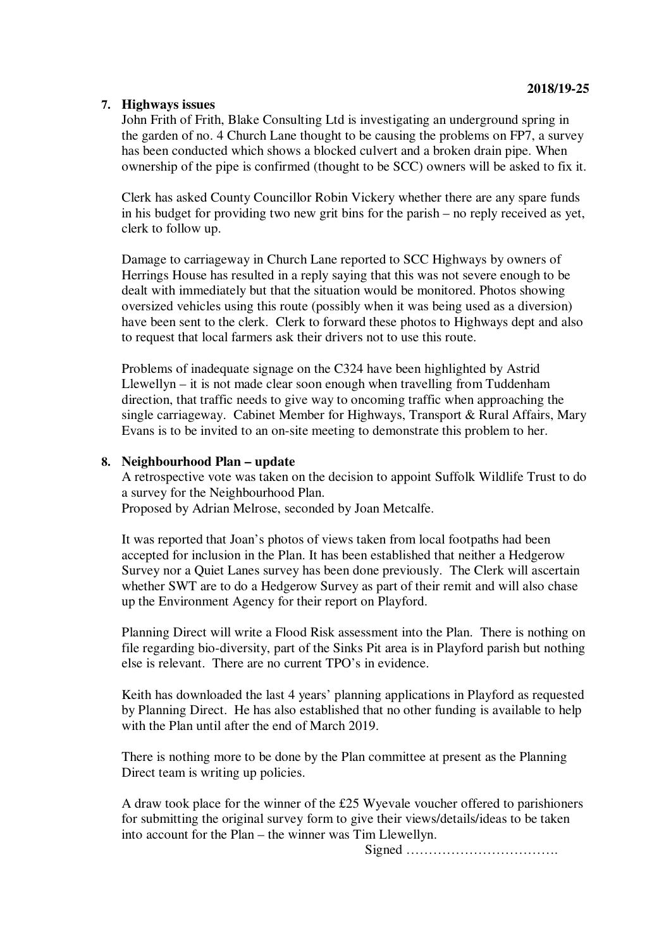#### **7. Highways issues**

John Frith of Frith, Blake Consulting Ltd is investigating an underground spring in the garden of no. 4 Church Lane thought to be causing the problems on FP7, a survey has been conducted which shows a blocked culvert and a broken drain pipe. When ownership of the pipe is confirmed (thought to be SCC) owners will be asked to fix it.

Clerk has asked County Councillor Robin Vickery whether there are any spare funds in his budget for providing two new grit bins for the parish – no reply received as yet, clerk to follow up.

Damage to carriageway in Church Lane reported to SCC Highways by owners of Herrings House has resulted in a reply saying that this was not severe enough to be dealt with immediately but that the situation would be monitored. Photos showing oversized vehicles using this route (possibly when it was being used as a diversion) have been sent to the clerk. Clerk to forward these photos to Highways dept and also to request that local farmers ask their drivers not to use this route.

Problems of inadequate signage on the C324 have been highlighted by Astrid Llewellyn – it is not made clear soon enough when travelling from Tuddenham direction, that traffic needs to give way to oncoming traffic when approaching the single carriageway. Cabinet Member for Highways, Transport & Rural Affairs, Mary Evans is to be invited to an on-site meeting to demonstrate this problem to her.

#### **8. Neighbourhood Plan – update**

A retrospective vote was taken on the decision to appoint Suffolk Wildlife Trust to do a survey for the Neighbourhood Plan.

Proposed by Adrian Melrose, seconded by Joan Metcalfe.

It was reported that Joan's photos of views taken from local footpaths had been accepted for inclusion in the Plan. It has been established that neither a Hedgerow Survey nor a Quiet Lanes survey has been done previously. The Clerk will ascertain whether SWT are to do a Hedgerow Survey as part of their remit and will also chase up the Environment Agency for their report on Playford.

Planning Direct will write a Flood Risk assessment into the Plan. There is nothing on file regarding bio-diversity, part of the Sinks Pit area is in Playford parish but nothing else is relevant. There are no current TPO's in evidence.

Keith has downloaded the last 4 years' planning applications in Playford as requested by Planning Direct. He has also established that no other funding is available to help with the Plan until after the end of March 2019.

There is nothing more to be done by the Plan committee at present as the Planning Direct team is writing up policies.

A draw took place for the winner of the £25 Wyevale voucher offered to parishioners for submitting the original survey form to give their views/details/ideas to be taken into account for the Plan – the winner was Tim Llewellyn.

Signed …………………………….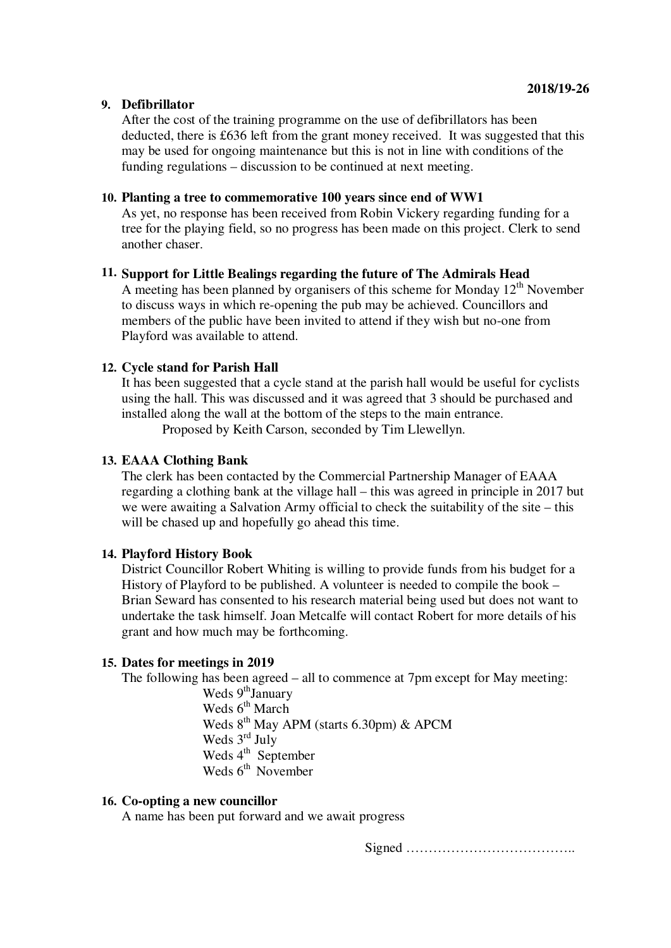#### **9. Defibrillator**

After the cost of the training programme on the use of defibrillators has been deducted, there is £636 left from the grant money received. It was suggested that this may be used for ongoing maintenance but this is not in line with conditions of the funding regulations – discussion to be continued at next meeting.

#### **10. Planting a tree to commemorative 100 years since end of WW1**

As yet, no response has been received from Robin Vickery regarding funding for a tree for the playing field, so no progress has been made on this project. Clerk to send another chaser.

#### **11. Support for Little Bealings regarding the future of The Admirals Head**

A meeting has been planned by organisers of this scheme for Monday  $12<sup>th</sup>$  November to discuss ways in which re-opening the pub may be achieved. Councillors and members of the public have been invited to attend if they wish but no-one from Playford was available to attend.

### **12. Cycle stand for Parish Hall**

It has been suggested that a cycle stand at the parish hall would be useful for cyclists using the hall. This was discussed and it was agreed that 3 should be purchased and installed along the wall at the bottom of the steps to the main entrance. Proposed by Keith Carson, seconded by Tim Llewellyn.

#### **13. EAAA Clothing Bank**

The clerk has been contacted by the Commercial Partnership Manager of EAAA regarding a clothing bank at the village hall – this was agreed in principle in 2017 but we were awaiting a Salvation Army official to check the suitability of the site – this will be chased up and hopefully go ahead this time.

#### **14. Playford History Book**

District Councillor Robert Whiting is willing to provide funds from his budget for a History of Playford to be published. A volunteer is needed to compile the book – Brian Seward has consented to his research material being used but does not want to undertake the task himself. Joan Metcalfe will contact Robert for more details of his grant and how much may be forthcoming.

#### **15. Dates for meetings in 2019**

The following has been agreed – all to commence at 7pm except for May meeting:

Weds 9<sup>th</sup>January Weds  $6<sup>th</sup> March$ Weds 8th May APM (starts 6.30pm) & APCM Weds 3<sup>rd</sup> July Weds  $4<sup>th</sup>$  September Weds  $6<sup>th</sup>$  November

#### **16. Co-opting a new councillor**

A name has been put forward and we await progress

Signed ………………………………..